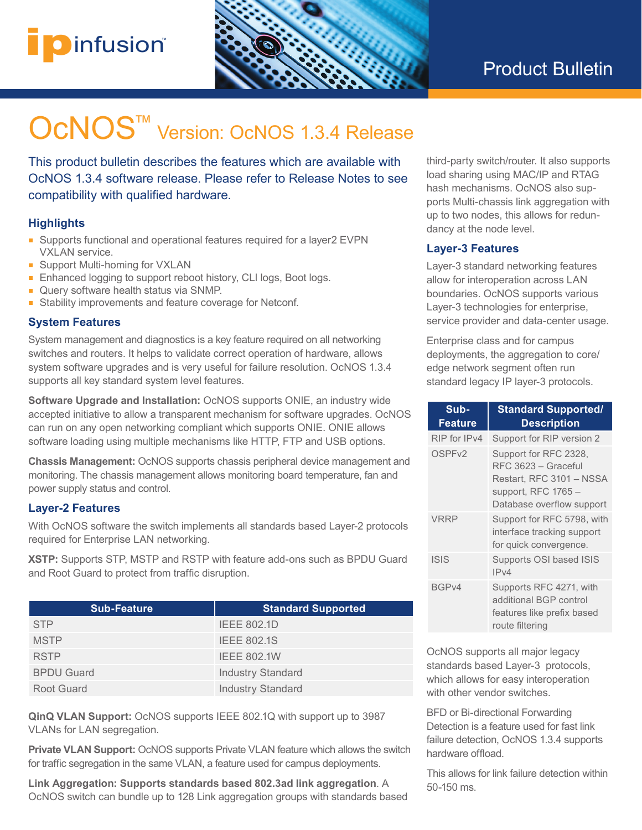## i**p**infusion® **™**



# OcNOS<sup>™</sup> Version: OcNOS 1.3.4 Release

This product bulletin describes the features which are available with OcNOS 1.3.4 software release. Please refer to Release Notes to see compatibility with qualified hardware.

### **Highlights**

- Supports functional and operational features required for a layer2 EVPN VXLAN service.
- Support Multi-homing for VXLAN
- Enhanced logging to support reboot history, CLI logs, Boot logs.
- Query software health status via SNMP.
- Stability improvements and feature coverage for Netconf.

### **System Features**

System management and diagnostics is a key feature required on all networking switches and routers. It helps to validate correct operation of hardware, allows system software upgrades and is very useful for failure resolution. OcNOS 1.3.4 supports all key standard system level features.

**Software Upgrade and Installation:** OcNOS supports ONIE, an industry wide accepted initiative to allow a transparent mechanism for software upgrades. OcNOS can run on any open networking compliant which supports ONIE. ONIE allows software loading using multiple mechanisms like HTTP, FTP and USB options.

**Chassis Management:** OcNOS supports chassis peripheral device management and monitoring. The chassis management allows monitoring board temperature, fan and power supply status and control.

### **Layer-2 Features**

With OcNOS software the switch implements all standards based Layer-2 protocols required for Enterprise LAN networking.

**XSTP:** Supports STP, MSTP and RSTP with feature add-ons such as BPDU Guard and Root Guard to protect from traffic disruption.

| <b>Sub-Feature</b> | <b>Standard Supported</b> |
|--------------------|---------------------------|
| <b>STP</b>         | <b>IEEE 802.1D</b>        |
| <b>MSTP</b>        | <b>IEEE 802.1S</b>        |
| <b>RSTP</b>        | <b>IEEE 802.1W</b>        |
| <b>BPDU Guard</b>  | <b>Industry Standard</b>  |
| Root Guard         | <b>Industry Standard</b>  |

**QinQ VLAN Support:** OcNOS supports IEEE 802.1Q with support up to 3987 VLANs for LAN segregation.

**Private VLAN Support:** OcNOS supports Private VLAN feature which allows the switch for traffic segregation in the same VLAN, a feature used for campus deployments.

**Link Aggregation: Supports standards based 802.3ad link aggregation**. A OcNOS switch can bundle up to 128 Link aggregation groups with standards based third-party switch/router. It also supports load sharing using MAC/IP and RTAG hash mechanisms. OcNOS also supports Multi-chassis link aggregation with up to two nodes, this allows for redundancy at the node level.

### **Layer-3 Features**

Layer-3 standard networking features allow for interoperation across LAN boundaries. OcNOS supports various Layer-3 technologies for enterprise, service provider and data-center usage.

Enterprise class and for campus deployments, the aggregation to core/ edge network segment often run standard legacy IP layer-3 protocols.

| Sub-<br>Feature    | <b>Standard Supported/</b><br><b>Description</b>                                                                              |
|--------------------|-------------------------------------------------------------------------------------------------------------------------------|
| RIP for IPv4       | Support for RIP version 2                                                                                                     |
| OSPF <sub>v2</sub> | Support for RFC 2328,<br>RFC 3623 - Graceful<br>Restart, RFC 3101 - NSSA<br>support, RFC $1765-$<br>Database overflow support |
| <b>VRRP</b>        | Support for RFC 5798, with<br>interface tracking support<br>for quick convergence.                                            |
| <b>ISIS</b>        | Supports OSI based ISIS<br>IPv4                                                                                               |
| BGP <sub>v4</sub>  | Supports RFC 4271, with<br>additional BGP control<br>features like prefix based<br>route filtering                            |

OcNOS supports all major legacy standards based Layer-3 protocols, which allows for easy interoperation with other vendor switches.

BFD or Bi-directional Forwarding Detection is a feature used for fast link failure detection, OcNOS 1.3.4 supports hardware offload.

This allows for link failure detection within 50-150 ms.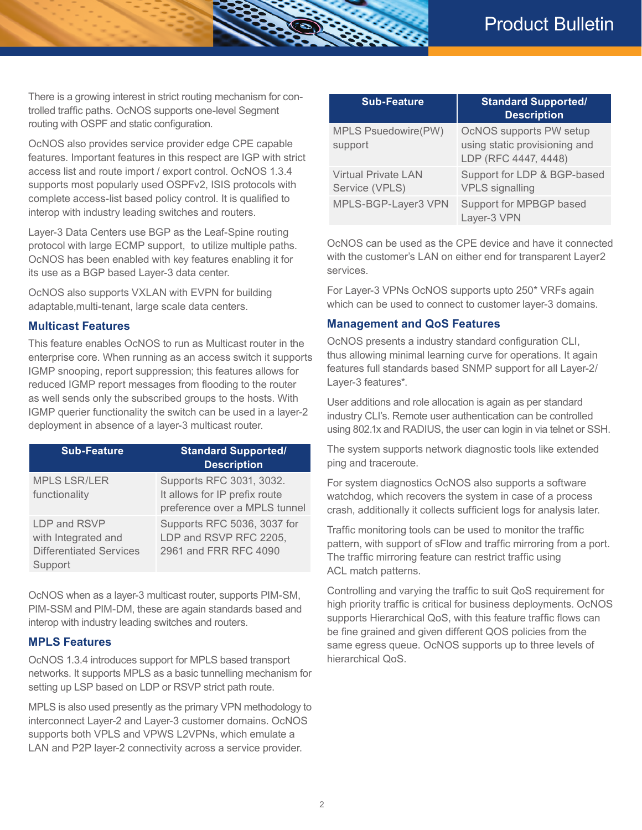There is a growing interest in strict routing mechanism for controlled traffic paths. OcNOS supports one-level Segment routing with OSPF and static configuration.

OcNOS also provides service provider edge CPE capable features. Important features in this respect are IGP with strict access list and route import / export control. OcNOS 1.3.4 supports most popularly used OSPFv2, ISIS protocols with complete access-list based policy control. It is qualified to interop with industry leading switches and routers.

Layer-3 Data Centers use BGP as the Leaf-Spine routing protocol with large ECMP support, to utilize multiple paths. OcNOS has been enabled with key features enabling it for its use as a BGP based Layer-3 data center.

OcNOS also supports VXLAN with EVPN for building adaptable,multi-tenant, large scale data centers.

#### **Multicast Features**

This feature enables OcNOS to run as Multicast router in the enterprise core. When running as an access switch it supports IGMP snooping, report suppression; this features allows for reduced IGMP report messages from flooding to the router as well sends only the subscribed groups to the hosts. With IGMP querier functionality the switch can be used in a layer-2 deployment in absence of a layer-3 multicast router.

| <b>Sub-Feature</b>                                                               | <b>Standard Supported/</b><br><b>Description</b>                                           |
|----------------------------------------------------------------------------------|--------------------------------------------------------------------------------------------|
| <b>MPLS LSR/LER</b><br>functionality                                             | Supports RFC 3031, 3032.<br>It allows for IP prefix route<br>preference over a MPLS tunnel |
| LDP and RSVP<br>with Integrated and<br><b>Differentiated Services</b><br>Support | Supports RFC 5036, 3037 for<br>LDP and RSVP RFC 2205,<br>2961 and FRR RFC 4090             |

OcNOS when as a layer-3 multicast router, supports PIM-SM, PIM-SSM and PIM-DM, these are again standards based and interop with industry leading switches and routers.

#### **MPLS Features**

OcNOS 1.3.4 introduces support for MPLS based transport networks. It supports MPLS as a basic tunnelling mechanism for setting up LSP based on LDP or RSVP strict path route.

MPLS is also used presently as the primary VPN methodology to interconnect Layer-2 and Layer-3 customer domains. OcNOS supports both VPLS and VPWS L2VPNs, which emulate a LAN and P2P layer-2 connectivity across a service provider.

| <b>Sub-Feature</b>                           | <b>Standard Supported/</b><br><b>Description</b>                                 |
|----------------------------------------------|----------------------------------------------------------------------------------|
| MPLS Psuedowire(PW)<br>support               | OcNOS supports PW setup<br>using static provisioning and<br>LDP (RFC 4447, 4448) |
| <b>Virtual Private LAN</b><br>Service (VPLS) | Support for LDP & BGP-based<br><b>VPLS</b> signalling                            |
| MPLS-BGP-Layer3 VPN                          | Support for MPBGP based<br>Layer-3 VPN                                           |

OcNOS can be used as the CPE device and have it connected with the customer's LAN on either end for transparent Layer2 services.

For Layer-3 VPNs OcNOS supports upto 250\* VRFs again which can be used to connect to customer layer-3 domains.

#### **Management and QoS Features**

OcNOS presents a industry standard configuration CLI, thus allowing minimal learning curve for operations. It again features full standards based SNMP support for all Layer-2/ Layer-3 features\*.

User additions and role allocation is again as per standard industry CLI's. Remote user authentication can be controlled using 802.1x and RADIUS, the user can login in via telnet or SSH.

The system supports network diagnostic tools like extended ping and traceroute.

For system diagnostics OcNOS also supports a software watchdog, which recovers the system in case of a process crash, additionally it collects sufficient logs for analysis later.

Traffic monitoring tools can be used to monitor the traffic pattern, with support of sFlow and traffic mirroring from a port. The traffic mirroring feature can restrict traffic using ACL match patterns.

Controlling and varying the traffic to suit QoS requirement for high priority traffic is critical for business deployments. OcNOS supports Hierarchical QoS, with this feature traffic flows can be fine grained and given different QOS policies from the same egress queue. OcNOS supports up to three levels of hierarchical QoS.